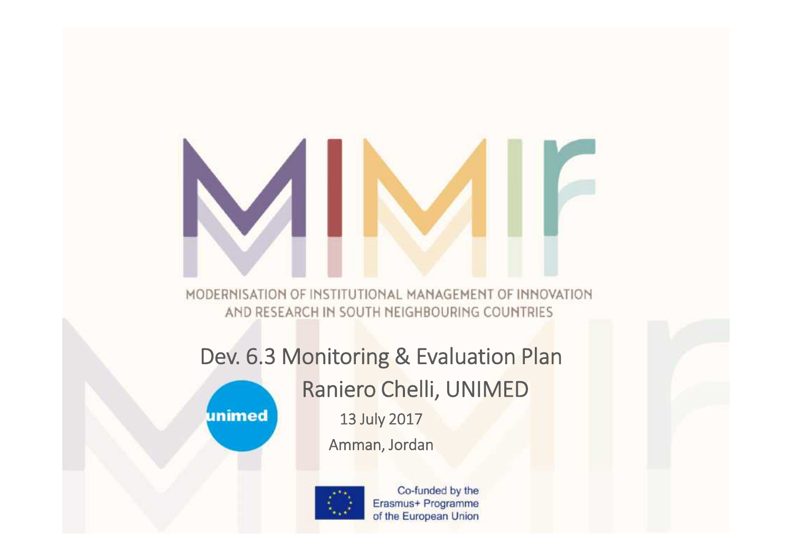# MODERNISATION OF INSTITUTIONAL MANAGEMENT OF INNOVATION

AND RESEARCH IN SOUTH NEIGHBOURING COUNTRIES

#### **Dev. 6.3 Monitoring & Evaluation Plan**

**Raniero Chelli, UNIMED**

unimed

**13 July 2017 Amman, Jordan**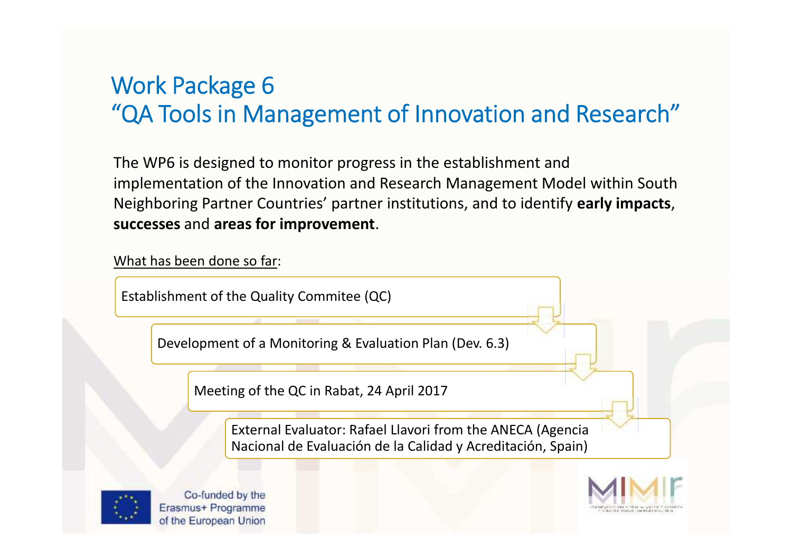#### **Work Package 6 "QA Tools in Management of Innovation and Research"**

The WP6 is designed to monitor progress in the establishment and implementation of the Innovation and Research Management Model within South Neighboring Partner Countries' partner institutions, and to identify **early impacts**, **successes** and **areas for improvement**.

What has been done so far:

Establishment of the Quality Commitee (QC)

Development of a Monitoring & Evaluation Plan (Dev. 6.3)

Meeting of the QC in Rabat, 24 April 2017

External Evaluator: Rafael Llavori from the ANECA (Agencia Nacional de Evaluación de la Calidad y Acreditación, Spain)



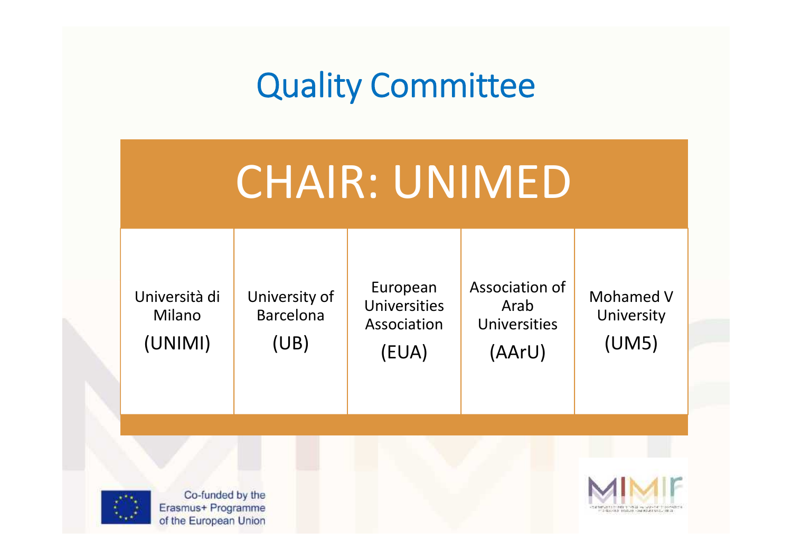# **Quality Committee**

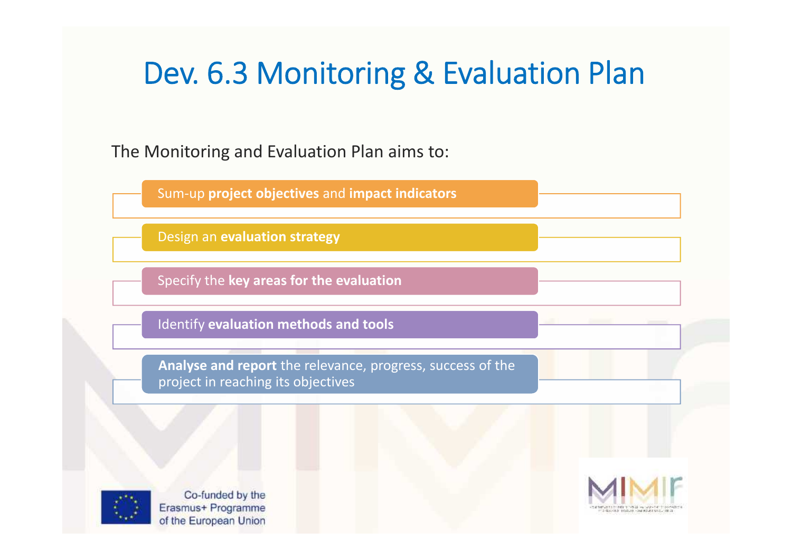#### **Dev. 6.3 Monitoring & Evaluation Plan**

The Monitoring and Evaluation Plan aims to:

Sum-up **project objectives** and **impact indicators**

Design an **evaluation strategy**

Specify the **key areas for the evaluation**

Identify **evaluation methods and tools**

**Analyse and report** the relevance, progress, success of the project in reaching its objectives



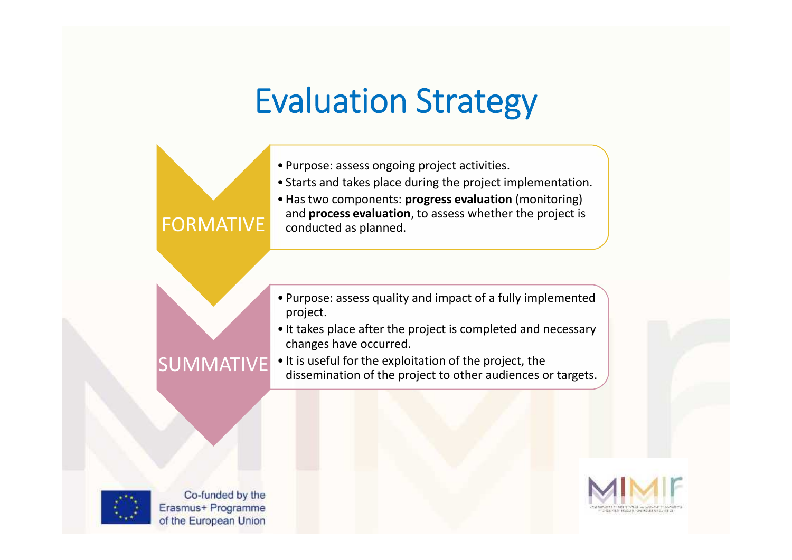## **Evaluation Strategy**





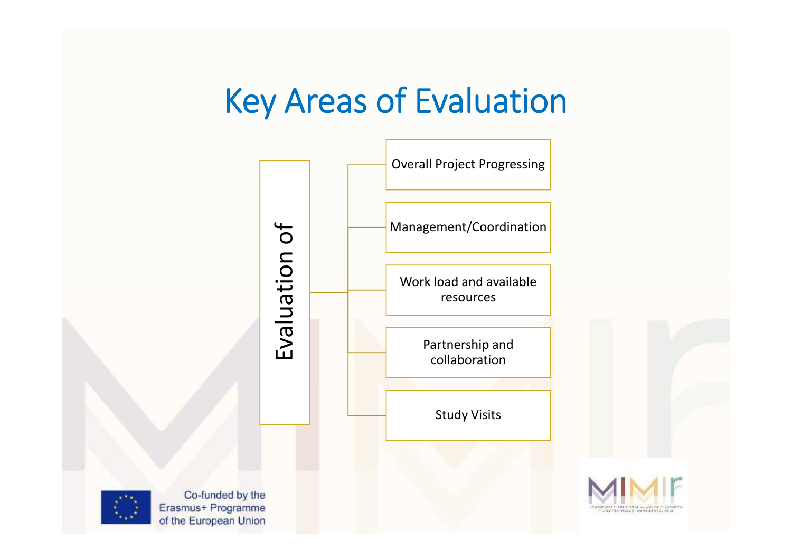## **Key Areas of Evaluation**

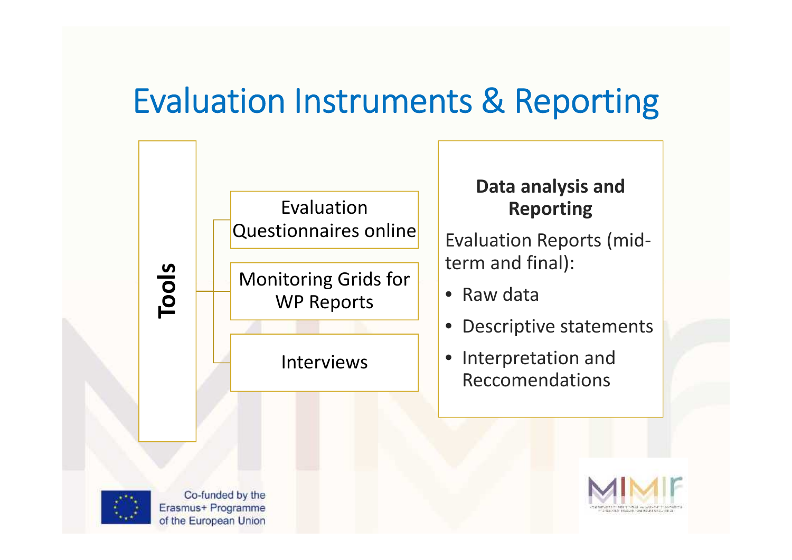#### **Evaluation Instruments & Reporting**

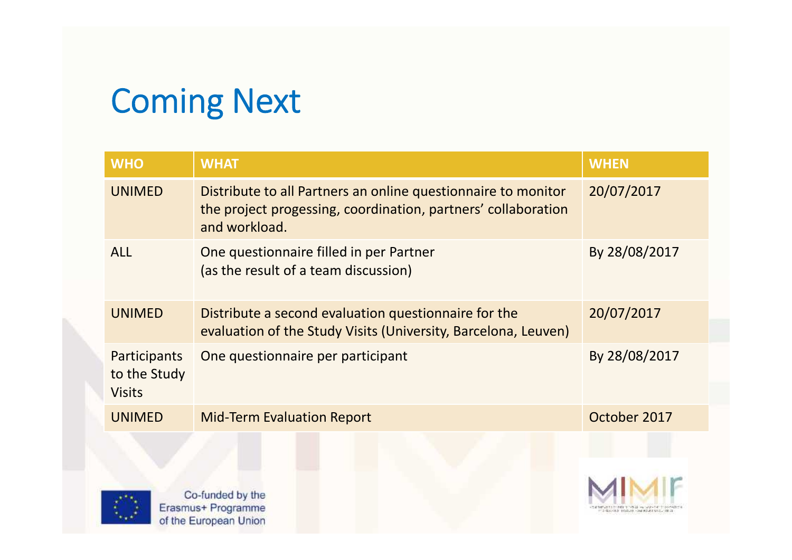# **Coming Next**

| <b>WHO</b>                                    | <b>WHAT</b>                                                                                                                                     | <b>WHEN</b>   |
|-----------------------------------------------|-------------------------------------------------------------------------------------------------------------------------------------------------|---------------|
| <b>UNIMED</b>                                 | Distribute to all Partners an online questionnaire to monitor<br>the project progessing, coordination, partners' collaboration<br>and workload. | 20/07/2017    |
| <b>ALL</b>                                    | One questionnaire filled in per Partner<br>(as the result of a team discussion)                                                                 | By 28/08/2017 |
| <b>UNIMED</b>                                 | Distribute a second evaluation questionnaire for the<br>evaluation of the Study Visits (University, Barcelona, Leuven)                          | 20/07/2017    |
| Participants<br>to the Study<br><b>Visits</b> | One questionnaire per participant                                                                                                               | By 28/08/2017 |
| <b>UNIMED</b>                                 | <b>Mid-Term Evaluation Report</b>                                                                                                               | October 2017  |
| Co-funded by the<br>Erasmus+ Programme        |                                                                                                                                                 |               |
| of the European Union                         |                                                                                                                                                 |               |